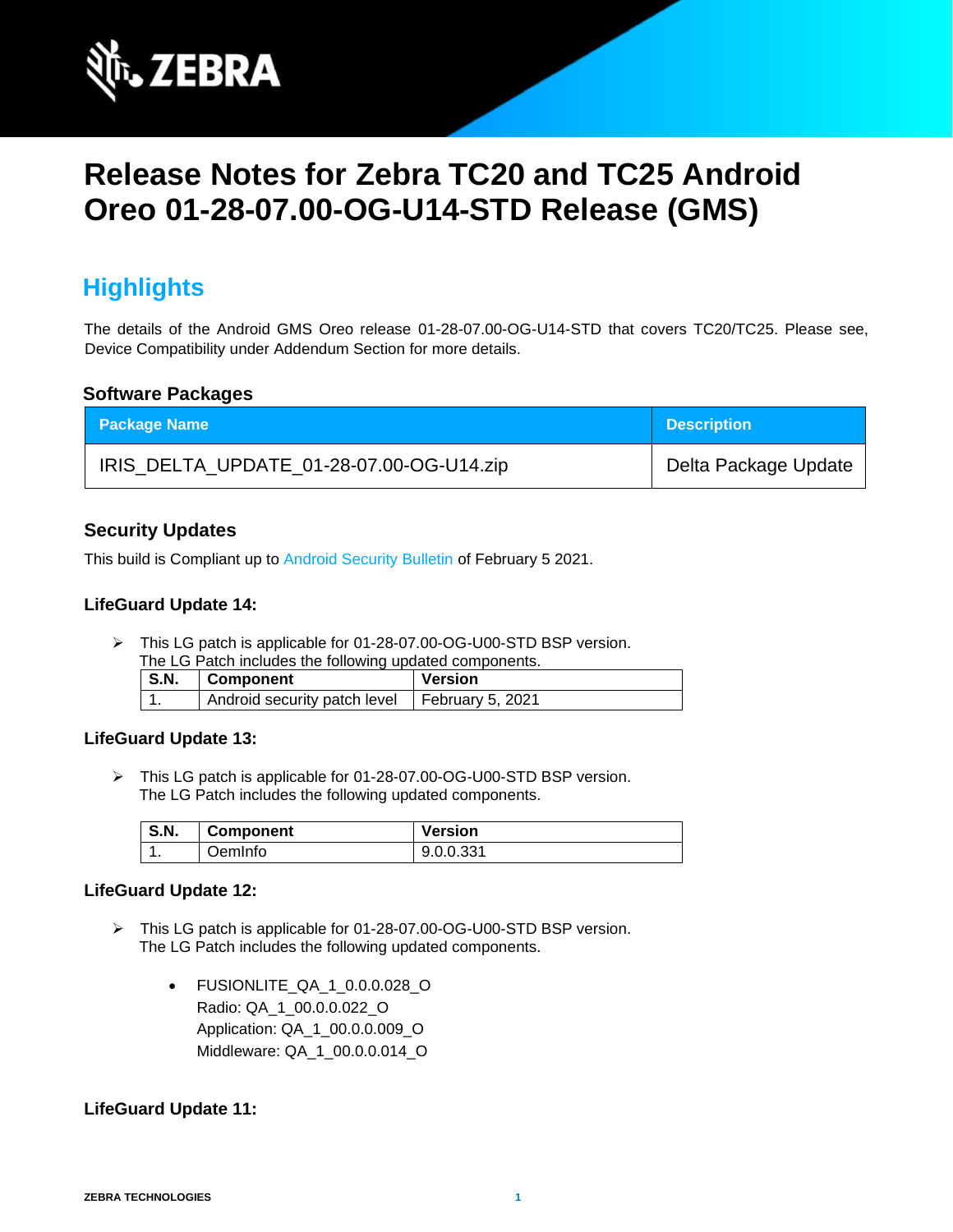

# **Release Notes for Zebra TC20 and TC25 Android Oreo 01-28-07.00-OG-U14-STD Release (GMS)**

# **Highlights**

The details of the Android GMS Oreo release 01-28-07.00-OG-U14-STD that covers TC20/TC25. Please see, Device Compatibility under Addendum Section for more details.

#### **Software Packages**

| <b>Package Name</b>                      | <b>Description</b>   |
|------------------------------------------|----------------------|
| IRIS_DELTA_UPDATE_01-28-07.00-OG-U14.zip | Delta Package Update |

#### **Security Updates**

This build is Compliant up to [Android Security Bulletin](https://source.android.com/security/bulletin/) of February 5 2021.

#### **LifeGuard Update 14:**

➢ This LG patch is applicable for 01-28-07.00-OG-U00-STD BSP version. The LG Patch includes the following updated components.

| THE LOT AND HIGHGES THE RIGHT IN CHOOSE OF THE CHILD TO THE T<br>S.N. | Component                                       | Version |
|-----------------------------------------------------------------------|-------------------------------------------------|---------|
| . .                                                                   | Android security patch level   February 5, 2021 |         |

#### **LifeGuard Update 13:**

➢ This LG patch is applicable for 01-28-07.00-OG-U00-STD BSP version. The LG Patch includes the following updated components.

| S.N. | <b>Component</b> | <b>Version</b> |
|------|------------------|----------------|
| . .  | OemInfo          | 9.0.0.331      |

#### **LifeGuard Update 12:**

- ➢ This LG patch is applicable for 01-28-07.00-OG-U00-STD BSP version. The LG Patch includes the following updated components.
	- FUSIONLITE\_QA\_1\_0.0.0.028\_O Radio: QA\_1\_00.0.0.022\_O Application: QA\_1\_00.0.0.009\_O Middleware: QA\_1\_00.0.0.014\_O

#### **LifeGuard Update 11:**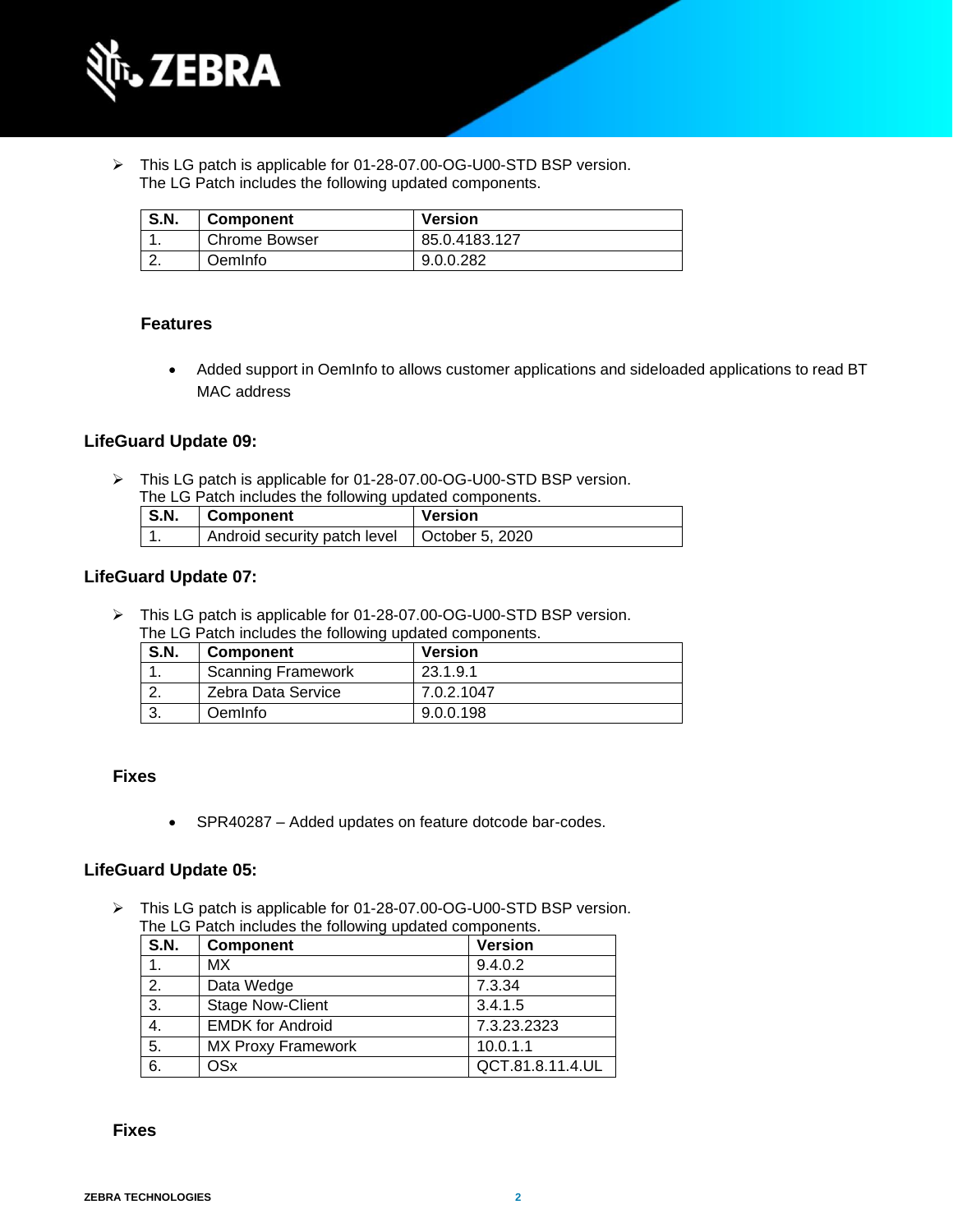

➢ This LG patch is applicable for 01-28-07.00-OG-U00-STD BSP version. The LG Patch includes the following updated components.

| <b>S.N.</b> | <b>Component</b>     | <b>Version</b> |
|-------------|----------------------|----------------|
|             | <b>Chrome Bowser</b> | 85.0.4183.127  |
|             | OemInfo              | 9.0.0.282      |

#### **Features**

• Added support in OemInfo to allows customer applications and sideloaded applications to read BT MAC address

#### **LifeGuard Update 09:**

➢ This LG patch is applicable for 01-28-07.00-OG-U00-STD BSP version. The LG Patch includes the following updated components.

| <b>S.N.</b> | Component                                      | Version |
|-------------|------------------------------------------------|---------|
|             | Android security patch level   October 5, 2020 |         |

#### **LifeGuard Update 07:**

➢ This LG patch is applicable for 01-28-07.00-OG-U00-STD BSP version. The LG Patch includes the following updated components.

| <b>S.N.</b> | <b>Component</b>          | <b>Version</b> |
|-------------|---------------------------|----------------|
|             | <b>Scanning Framework</b> | 23.1.9.1       |
|             | Zebra Data Service        | 7.0.2.1047     |
|             | Oemlnfo                   | 9.0.0.198      |

#### **Fixes**

• SPR40287 – Added updates on feature dotcode bar-codes.

#### **LifeGuard Update 05:**

➢ This LG patch is applicable for 01-28-07.00-OG-U00-STD BSP version. The LG Patch includes the following updated components.

| <b>S.N.</b> | <b>Component</b>          | <b>Version</b>   |
|-------------|---------------------------|------------------|
|             | МX                        | 9.4.0.2          |
| 2.          | Data Wedge                | 7.3.34           |
| 3.          | <b>Stage Now-Client</b>   | 3.4.1.5          |
| 4.          | <b>EMDK for Android</b>   | 7.3.23.2323      |
| 5.          | <b>MX Proxy Framework</b> | 10.0.1.1         |
| 6.          | <b>OSx</b>                | QCT.81.8.11.4.UL |

 **Fixes**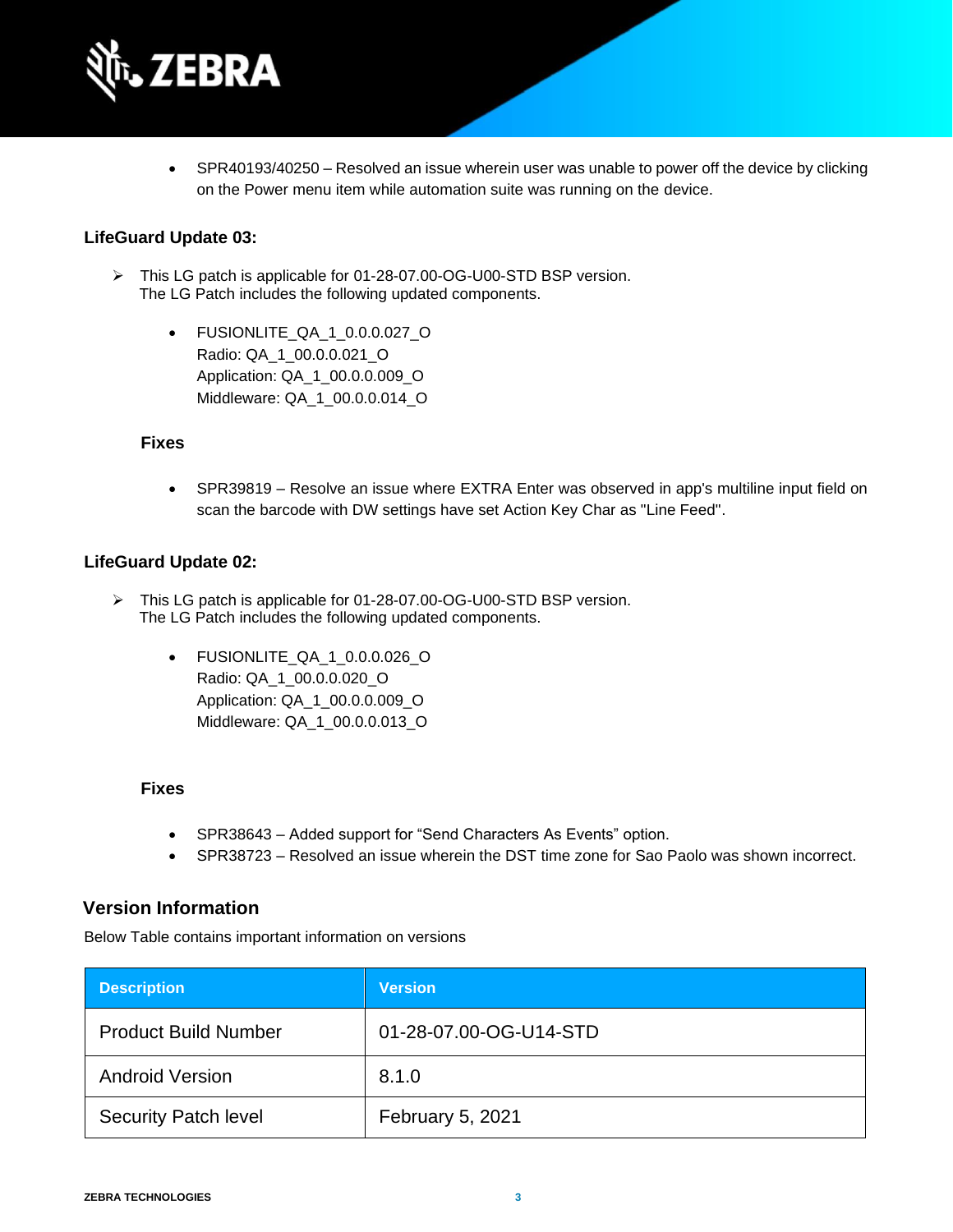

• SPR40193/40250 – Resolved an issue wherein user was unable to power off the device by clicking on the Power menu item while automation suite was running on the device.

#### **LifeGuard Update 03:**

- ➢ This LG patch is applicable for 01-28-07.00-OG-U00-STD BSP version. The LG Patch includes the following updated components.
	- FUSIONLITE\_QA\_1\_0.0.0.027\_O Radio: QA\_1\_00.0.0.021\_O Application: QA\_1\_00.0.0.009\_O Middleware: QA\_1\_00.0.0.014\_O

#### **Fixes**

• SPR39819 – Resolve an issue where EXTRA Enter was observed in app's multiline input field on scan the barcode with DW settings have set Action Key Char as "Line Feed".

#### **LifeGuard Update 02:**

- ➢ This LG patch is applicable for 01-28-07.00-OG-U00-STD BSP version. The LG Patch includes the following updated components.
	- FUSIONLITE\_QA\_1\_0.0.0.026\_O Radio: QA\_1\_00.0.0.020\_O Application: QA\_1\_00.0.0.009\_O Middleware: QA\_1\_00.0.0.013\_O

#### **Fixes**

- SPR38643 Added support for "Send Characters As Events" option.
- SPR38723 Resolved an issue wherein the DST time zone for Sao Paolo was shown incorrect.

#### **Version Information**

Below Table contains important information on versions

| <b>Description</b>          | <b>Version</b>         |
|-----------------------------|------------------------|
| <b>Product Build Number</b> | 01-28-07.00-OG-U14-STD |
| <b>Android Version</b>      | 8.1.0                  |
| <b>Security Patch level</b> | February 5, 2021       |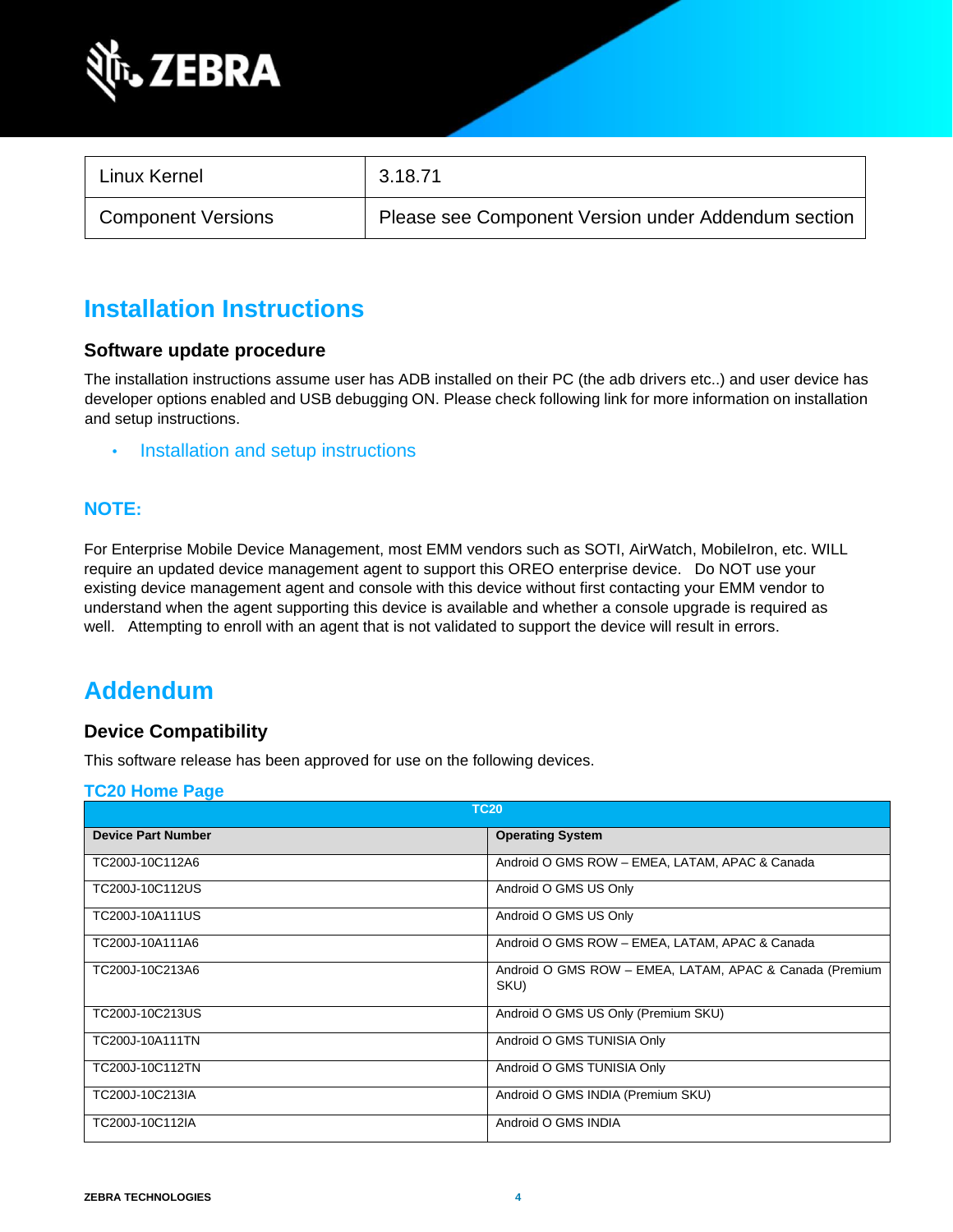

| Linux Kernel              | 3.18.71                                             |
|---------------------------|-----------------------------------------------------|
| <b>Component Versions</b> | Please see Component Version under Addendum section |

### **Installation Instructions**

#### **Software update procedure**

The installation instructions assume user has ADB installed on their PC (the adb drivers etc..) and user device has developer options enabled and USB debugging ON. Please check following link for more information on installation and setup instructions.

• [Installation and setup instructions](https://www.zebra.com/content/dam/zebra_new_ia/en-us/software/operating-system/tc20-operating-system/Android-O-OS-Update-TC20-and-TC25-GMS.pdf)

#### **NOTE:**

For Enterprise Mobile Device Management, most EMM vendors such as SOTI, AirWatch, MobileIron, etc. WILL require an updated device management agent to support this OREO enterprise device. Do NOT use your existing device management agent and console with this device without first contacting your EMM vendor to understand when the agent supporting this device is available and whether a console upgrade is required as well. Attempting to enroll with an agent that is not validated to support the device will result in errors.

### **Addendum**

#### **Device Compatibility**

This software release has been approved for use on the following devices.

#### **[TC20 Home Page](https://www.zebra.com/us/en/support-downloads/software/operating-system/tc20-operating-system.html)**

| <b>TC20</b>               |                                                                 |  |
|---------------------------|-----------------------------------------------------------------|--|
| <b>Device Part Number</b> | <b>Operating System</b>                                         |  |
| TC200J-10C112A6           | Android O GMS ROW - EMEA, LATAM, APAC & Canada                  |  |
| TC200J-10C112US           | Android O GMS US Only                                           |  |
| TC200J-10A111US           | Android O GMS US Only                                           |  |
| TC200J-10A111A6           | Android O GMS ROW - EMEA, LATAM, APAC & Canada                  |  |
| TC200J-10C213A6           | Android O GMS ROW - EMEA, LATAM, APAC & Canada (Premium<br>SKU) |  |
| TC200J-10C213US           | Android O GMS US Only (Premium SKU)                             |  |
| TC200J-10A111TN           | Android O GMS TUNISIA Only                                      |  |
| TC200J-10C112TN           | Android O GMS TUNISIA Only                                      |  |
| TC200J-10C213IA           | Android O GMS INDIA (Premium SKU)                               |  |
| TC200J-10C112IA           | Android O GMS INDIA                                             |  |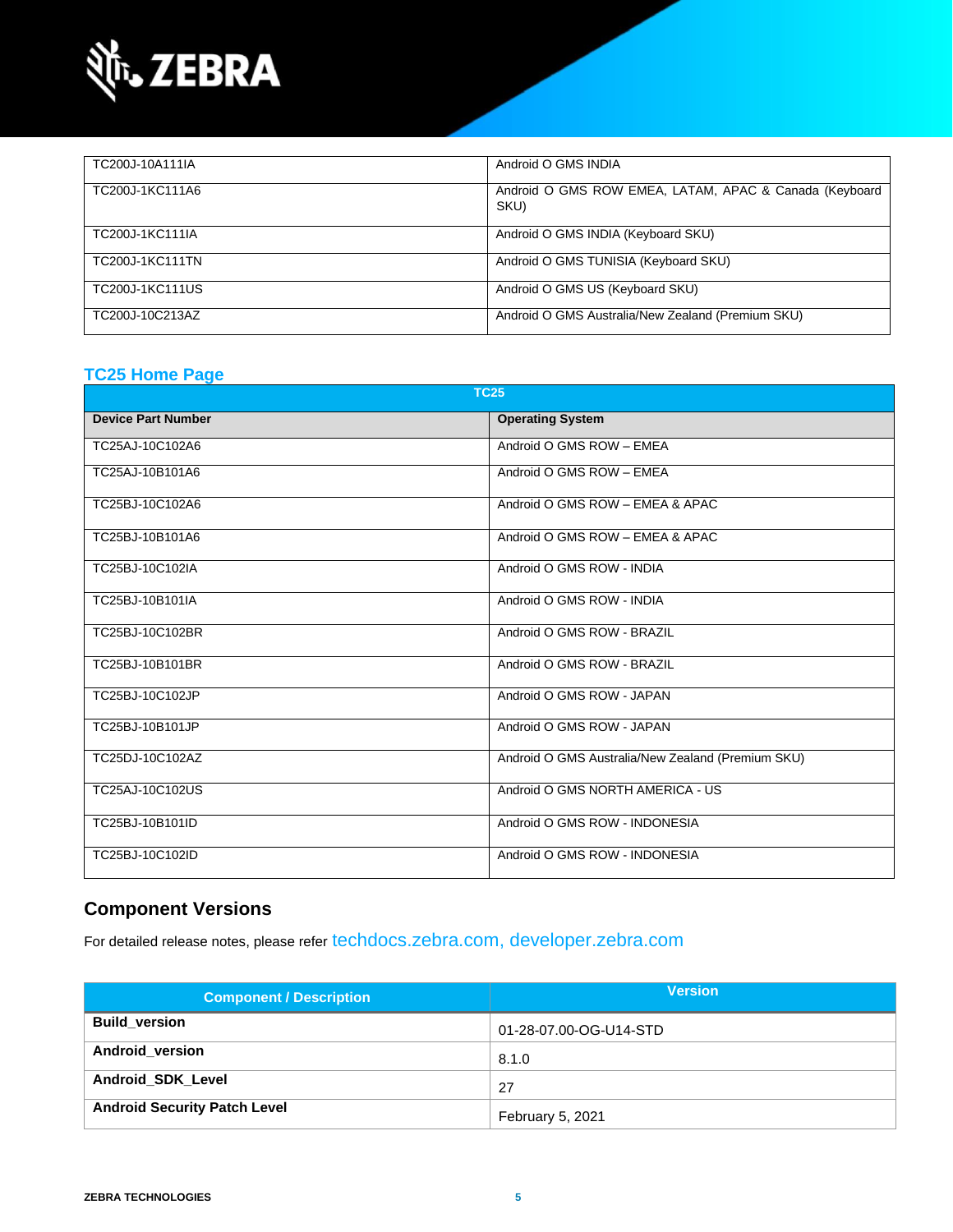

| TC200J-10A111IA | Android O GMS INDIA                                            |
|-----------------|----------------------------------------------------------------|
| TC200J-1KC111A6 | Android O GMS ROW EMEA, LATAM, APAC & Canada (Keyboard<br>SKU) |
| TC200J-1KC111IA | Android O GMS INDIA (Keyboard SKU)                             |
| TC200J-1KC111TN | Android O GMS TUNISIA (Keyboard SKU)                           |
| TC200J-1KC111US | Android O GMS US (Keyboard SKU)                                |
| TC200J-10C213AZ | Android O GMS Australia/New Zealand (Premium SKU)              |

### **[TC25 Home Page](https://www.zebra.com/us/en/support-downloads/software/operating-system/tc25-operating-system.html)**

| <b>TC25</b>               |                                                   |  |
|---------------------------|---------------------------------------------------|--|
| <b>Device Part Number</b> | <b>Operating System</b>                           |  |
| TC25AJ-10C102A6           | Android O GMS ROW - EMEA                          |  |
| TC25AJ-10B101A6           | Android O GMS ROW - EMEA                          |  |
| TC25BJ-10C102A6           | Android O GMS ROW - EMEA & APAC                   |  |
| TC25BJ-10B101A6           | Android O GMS ROW - EMEA & APAC                   |  |
| TC25BJ-10C102IA           | Android O GMS ROW - INDIA                         |  |
| TC25BJ-10B101IA           | Android O GMS ROW - INDIA                         |  |
| TC25BJ-10C102BR           | Android O GMS ROW - BRAZIL                        |  |
| TC25BJ-10B101BR           | Android O GMS ROW - BRAZIL                        |  |
| TC25BJ-10C102JP           | Android O GMS ROW - JAPAN                         |  |
| TC25BJ-10B101JP           | Android O GMS ROW - JAPAN                         |  |
| TC25DJ-10C102AZ           | Android O GMS Australia/New Zealand (Premium SKU) |  |
| TC25AJ-10C102US           | Android O GMS NORTH AMERICA - US                  |  |
| TC25BJ-10B101ID           | Android O GMS ROW - INDONESIA                     |  |
| TC25BJ-10C102ID           | Android O GMS ROW - INDONESIA                     |  |

### **Component Versions**

For detailed release notes, please refer [techdocs.zebra.com,](https://techdocs.zebra.com/) [developer.zebra.com](https://developer.zebra.com/)

| <b>Component / Description</b>      | <b>Version</b>         |
|-------------------------------------|------------------------|
| <b>Build version</b>                | 01-28-07.00-OG-U14-STD |
| Android_version                     | 8.1.0                  |
| <b>Android SDK Level</b>            | 27                     |
| <b>Android Security Patch Level</b> | February 5, 2021       |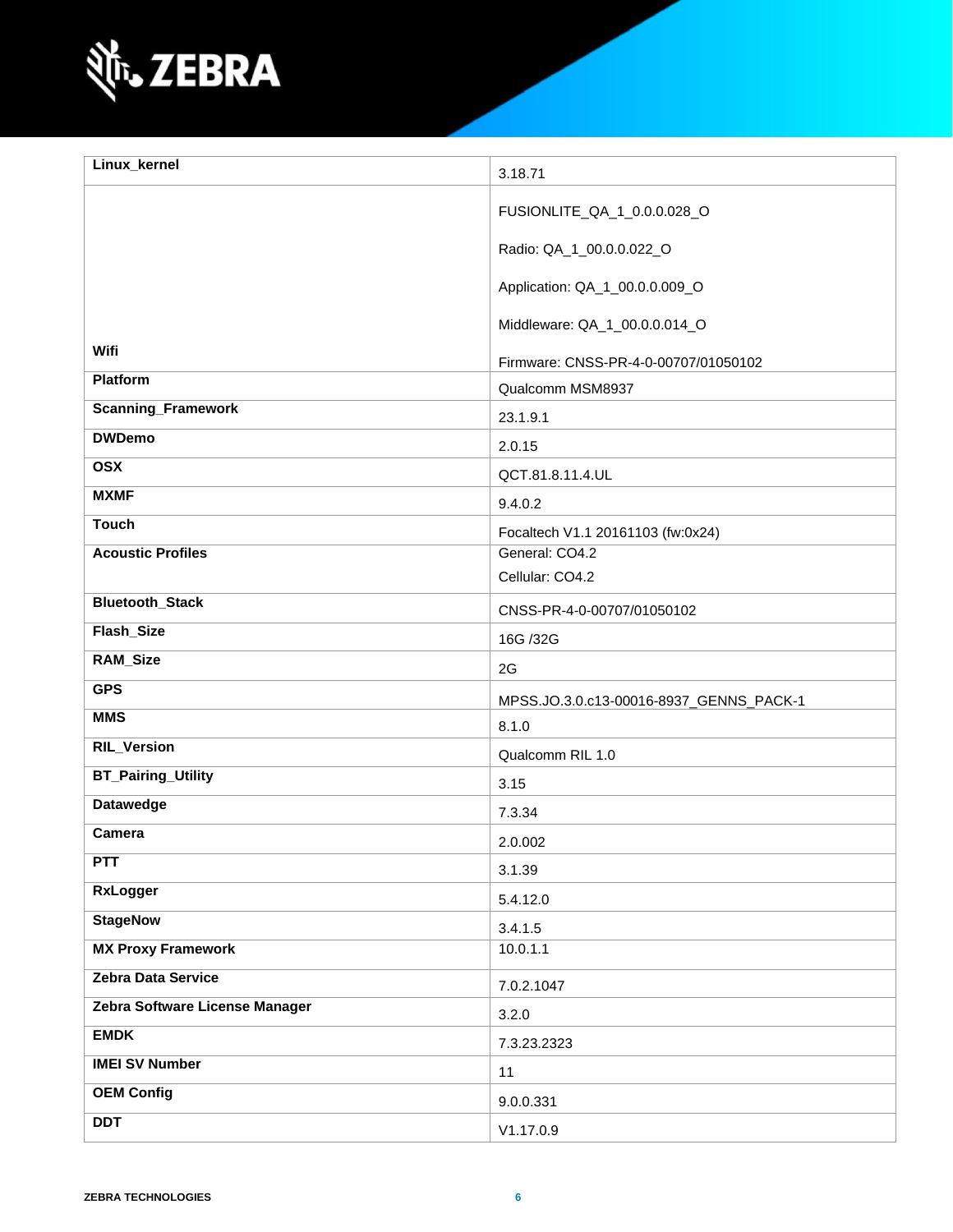

| Linux_kernel                   | 3.18.71                                             |
|--------------------------------|-----------------------------------------------------|
|                                |                                                     |
|                                | FUSIONLITE_QA_1_0.0.0.028_O                         |
|                                | Radio: QA_1_00.0.0.022_O                            |
|                                | Application: QA_1_00.0.0.009_O                      |
|                                | Middleware: QA_1_00.0.0.014_O                       |
| Wifi                           | Firmware: CNSS-PR-4-0-00707/01050102                |
| Platform                       | Qualcomm MSM8937                                    |
| <b>Scanning_Framework</b>      | 23.1.9.1                                            |
| <b>DWDemo</b>                  | 2.0.15                                              |
| <b>OSX</b>                     |                                                     |
| <b>MXMF</b>                    | QCT.81.8.11.4.UL                                    |
| <b>Touch</b>                   | 9.4.0.2                                             |
| <b>Acoustic Profiles</b>       | Focaltech V1.1 20161103 (fw:0x24)<br>General: CO4.2 |
|                                | Cellular: CO4.2                                     |
| <b>Bluetooth_Stack</b>         |                                                     |
| Flash_Size                     | CNSS-PR-4-0-00707/01050102                          |
|                                | 16G /32G                                            |
| RAM_Size                       | 2G                                                  |
| <b>GPS</b>                     | MPSS.JO.3.0.c13-00016-8937_GENNS_PACK-1             |
| <b>MMS</b>                     | 8.1.0                                               |
| <b>RIL_Version</b>             | Qualcomm RIL 1.0                                    |
| <b>BT_Pairing_Utility</b>      | 3.15                                                |
| Datawedge                      | 7.3.34                                              |
| Camera                         | 2.0.002                                             |
| <b>PTT</b>                     | 3.1.39                                              |
| <b>RxLogger</b>                | 5.4.12.0                                            |
| <b>StageNow</b>                | 3.4.1.5                                             |
| <b>MX Proxy Framework</b>      | 10.0.1.1                                            |
| Zebra Data Service             | 7.0.2.1047                                          |
| Zebra Software License Manager | 3.2.0                                               |
| <b>EMDK</b>                    | 7.3.23.2323                                         |
| <b>IMEI SV Number</b>          | 11                                                  |
| <b>OEM Config</b>              | 9.0.0.331                                           |
| <b>DDT</b>                     | V1.17.0.9                                           |